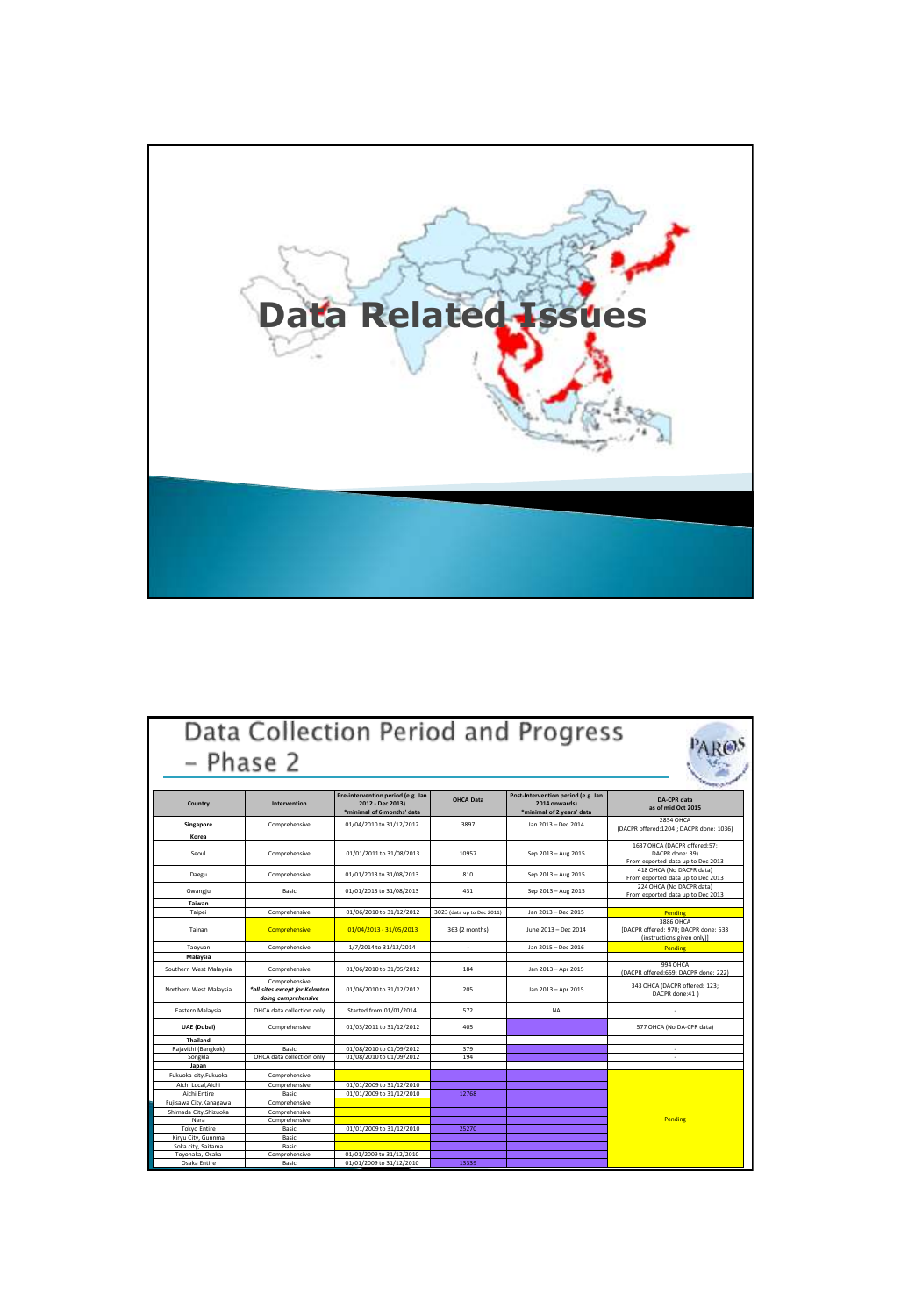

| – Phase 2                         |                                                                        |                                                                                     |                            | Data Collection Period and Progress                                              |                                                                                      |
|-----------------------------------|------------------------------------------------------------------------|-------------------------------------------------------------------------------------|----------------------------|----------------------------------------------------------------------------------|--------------------------------------------------------------------------------------|
| Country                           | Intervention                                                           | Pre-intervention period (e.g. Jan<br>2012 - Dec 2013)<br>*minimal of 6 months' data | <b>OHCA Data</b>           | Post-Intervention period (e.g. Jan<br>2014 onwards)<br>*minimal of 2 years' data | DA-CPR data<br>as of mid Oct 2015                                                    |
| Singapore                         | Comprehensive                                                          | 01/04/2010 to 31/12/2012                                                            | 3897                       | Jan 2013 - Dec 2014                                                              | <b>2854 OHCA</b><br>(DACPR offered:1204 ; DACPR done: 1036)                          |
| Korea                             |                                                                        |                                                                                     |                            |                                                                                  |                                                                                      |
| Seoul                             | Comprehensive                                                          | 01/01/2011 to 31/08/2013                                                            | 10957                      | Sep 2013 - Aug 2015                                                              | 1637 OHCA (DACPR offered:57;<br>DACPR done: 39)<br>From exported data up to Dec 2013 |
| Daegu                             | Comprehensive                                                          | 01/01/2013 to 31/08/2013                                                            | 810                        | Sep 2013 - Aug 2015                                                              | 418 OHCA (No DACPR data)<br>From exported data up to Dec 2013                        |
| Gwangiu                           | Basic                                                                  | 01/01/2013 to 31/08/2013                                                            | 431                        | Sep 2013 - Aug 2015                                                              | 224 OHCA (No DACPR data)<br>From exported data up to Dec 2013                        |
| Taiwan                            |                                                                        |                                                                                     |                            |                                                                                  |                                                                                      |
| Taipei                            | Comprehensive                                                          | 01/06/2010 to 31/12/2012                                                            | 3023 (data up to Dec 2011) | Jan 2013 - Dec 2015                                                              | Pending                                                                              |
| Tainan                            | <b>Comprehensive</b>                                                   | 01/04/2013 - 31/05/2013                                                             | 363 (2 months)             | June 2013 - Dec 2014                                                             | 3886 OHCA<br>[DACPR offered: 970; DACPR done: 533<br>(instructions given only)]      |
| Taovuan                           | Comprehensive                                                          | 1/7/2014 to 31/12/2014                                                              | ÷                          | Jan 2015 - Dec 2016                                                              | Pending                                                                              |
| Malaysia                          |                                                                        |                                                                                     |                            |                                                                                  |                                                                                      |
| Southern West Malaysia            | Comprehensive                                                          | 01/06/2010 to 31/05/2012                                                            | 184                        | Jan 2013 - Apr 2015                                                              | 994 OHCA<br>(DACPR offered:659; DACPR done: 222)                                     |
| Northern West Malaysia            | Comprehensive<br>*all sites except for Kelantan<br>doina comprehensive | 01/06/2010 to 31/12/2012                                                            | 205                        | Jan 2013 - Apr 2015                                                              | 343 OHCA (DACPR offered: 123;<br>DACPR done:41 )                                     |
| Eastern Malaysia                  | OHCA data collection only                                              | Started from 01/01/2014                                                             | 572                        | <b>NA</b>                                                                        |                                                                                      |
| <b>UAE</b> (Dubai)                | Comprehensive                                                          | 01/03/2011 to 31/12/2012                                                            | 405                        |                                                                                  | 577 OHCA (No DA-CPR data)                                                            |
| <b>Thailand</b>                   |                                                                        |                                                                                     |                            |                                                                                  |                                                                                      |
| Rajavithi (Bangkok)               | Basic                                                                  | 01/08/2010 to 01/09/2012                                                            | 379                        |                                                                                  |                                                                                      |
| Songkla                           | OHCA data collection only                                              | 01/08/2010 to 01/09/2012                                                            | 194                        |                                                                                  |                                                                                      |
| Japan                             |                                                                        |                                                                                     |                            |                                                                                  |                                                                                      |
| Fukuoka city.Fukuoka              | Comprehensive                                                          |                                                                                     |                            |                                                                                  |                                                                                      |
| Aichi Local Aichi<br>Aichi Entire | Comprehensive<br>Basic                                                 | 01/01/2009 to 31/12/2010<br>01/01/2009 to 31/12/2010                                | 12768                      |                                                                                  |                                                                                      |
| Fujisawa City, Kanagawa           | Comprehensive                                                          |                                                                                     |                            |                                                                                  |                                                                                      |
| Shimada City, Shizuoka            | Comprehensive                                                          |                                                                                     |                            |                                                                                  |                                                                                      |
| Nara                              | Comprehensive                                                          |                                                                                     |                            |                                                                                  | Pending                                                                              |
| <b>Tokyo Entire</b>               | Basic                                                                  | 01/01/2009 to 31/12/2010                                                            | 25270                      |                                                                                  |                                                                                      |
| Kiryu City, Gunnma                | Basic                                                                  |                                                                                     |                            |                                                                                  |                                                                                      |
| Soka city, Saitama                | Basic                                                                  |                                                                                     |                            |                                                                                  |                                                                                      |
| Toyonaka, Osaka                   | Comprehensive                                                          | 01/01/2009 to 31/12/2010                                                            |                            |                                                                                  |                                                                                      |
| Osaka Entire                      | Basic                                                                  | 01/01/2009 to 31/12/2010                                                            | 13339                      |                                                                                  |                                                                                      |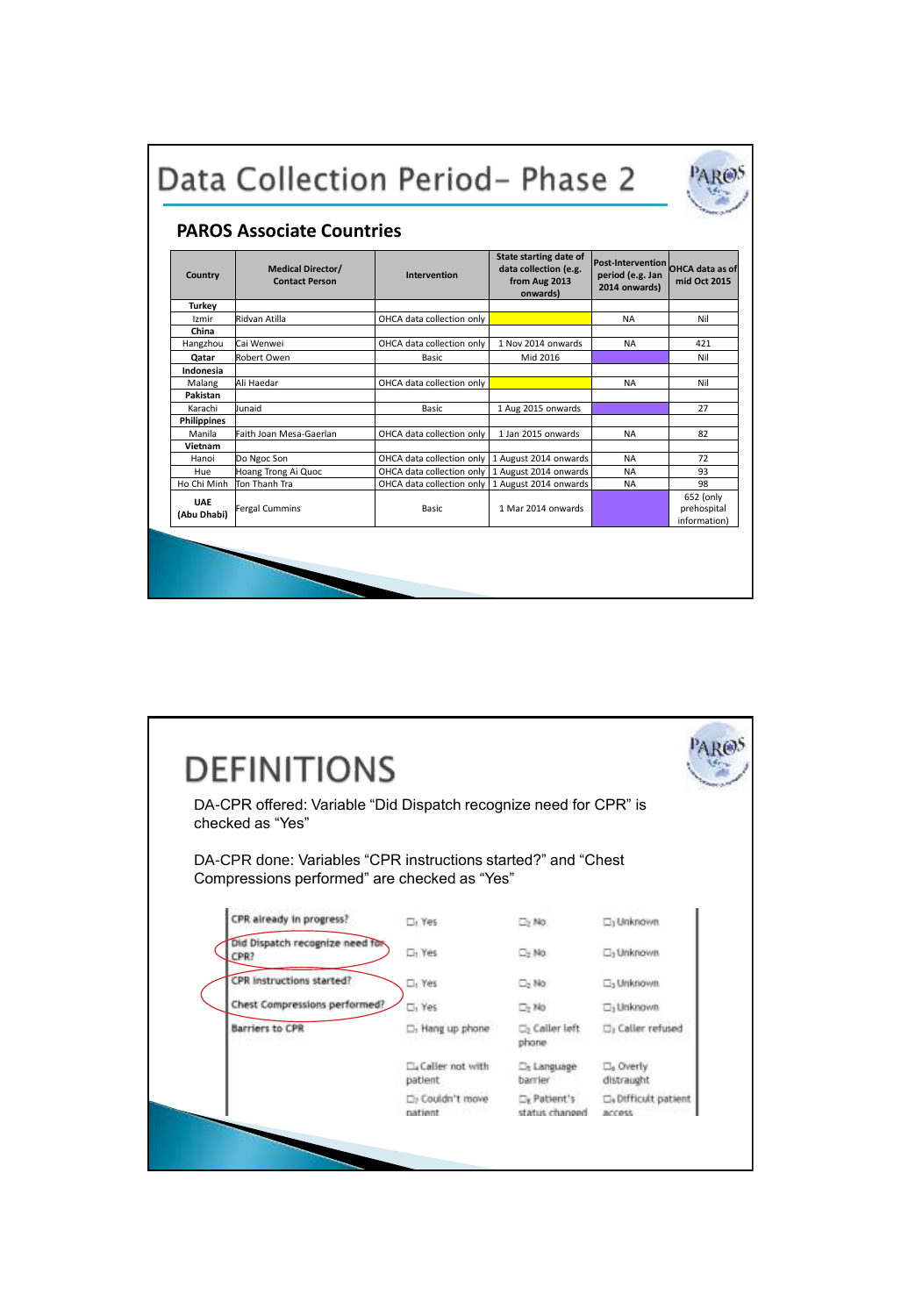|                    | <b>PAROS Associate Countries</b>                  |                                                   |                                                                                     |                                                               |                                          |
|--------------------|---------------------------------------------------|---------------------------------------------------|-------------------------------------------------------------------------------------|---------------------------------------------------------------|------------------------------------------|
| Country            | <b>Medical Director/</b><br><b>Contact Person</b> | <b>Intervention</b>                               | <b>State starting date of</b><br>data collection (e.g.<br>from Aug 2013<br>onwards) | <b>Post-Intervention</b><br>period (e.g. Jan<br>2014 onwards) | OHCA data as of<br>mid Oct 2015          |
| Turkey             |                                                   |                                                   |                                                                                     |                                                               |                                          |
| Izmir              | Ridvan Atilla                                     | OHCA data collection only                         |                                                                                     | <b>NA</b>                                                     | Nil                                      |
| China              |                                                   |                                                   |                                                                                     |                                                               |                                          |
| Hangzhou           | Cai Wenwei                                        | OHCA data collection only                         | 1 Nov 2014 onwards                                                                  | <b>NA</b>                                                     | 421                                      |
| Qatar              | Robert Owen                                       | Basic                                             | Mid 2016                                                                            |                                                               | Nil                                      |
| Indonesia          |                                                   |                                                   |                                                                                     |                                                               |                                          |
| Malang             | Ali Haedar                                        | OHCA data collection only                         |                                                                                     | NA                                                            | Nil                                      |
| Pakistan           |                                                   |                                                   |                                                                                     |                                                               |                                          |
| Karachi            | Junaid                                            | Basic                                             | 1 Aug 2015 onwards                                                                  |                                                               | 27                                       |
| <b>Philippines</b> |                                                   |                                                   |                                                                                     |                                                               |                                          |
| Manila             | Faith Joan Mesa-Gaerlan                           | OHCA data collection only                         | 1 Jan 2015 onwards                                                                  | <b>NA</b>                                                     | 82                                       |
| Vietnam            |                                                   |                                                   |                                                                                     |                                                               |                                          |
| Hanoi              | Do Ngoc Son                                       | OHCA data collection only 1 August 2014 onwards   |                                                                                     | <b>NA</b>                                                     | 72                                       |
| Hue                | Hoang Trong Ai Quoc                               | OHCA data collection only   1 August 2014 onwards |                                                                                     | <b>NA</b>                                                     | 93                                       |
| Ho Chi Minh        | Ton Thanh Tra                                     | OHCA data collection only                         | 1 August 2014 onwards                                                               | <b>NA</b>                                                     | 98                                       |
| UAE<br>(Abu Dhabi) | <b>Fergal Cummins</b>                             | Basic                                             | 1 Mar 2014 onwards                                                                  |                                                               | 652 (only<br>prehospital<br>information) |